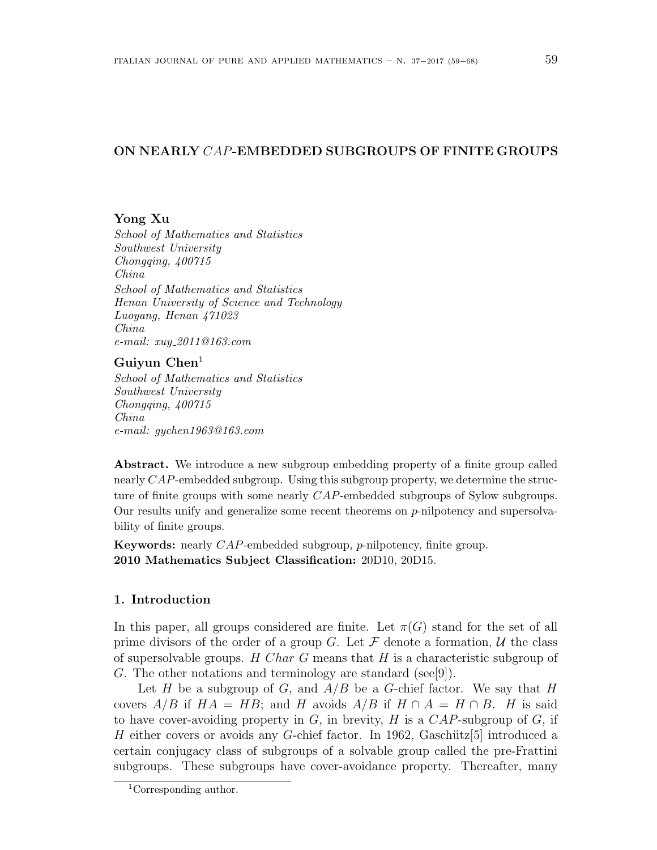# **ON NEARLY** *CAP***-EMBEDDED SUBGROUPS OF FINITE GROUPS**

### **Yong Xu**

*School of Mathematics and Statistics Southwest University Chongqing, 400715 China School of Mathematics and Statistics Henan University of Science and Technology Luoyang, Henan 471023 China e-mail: xuy 2011@163.com*

# **Guiyun Chen**<sup>1</sup>

*School of Mathematics and Statistics Southwest University Chongqing, 400715 China e-mail: gychen1963@163.com*

**Abstract.** We introduce a new subgroup embedding property of a finite group called nearly *CAP*-embedded subgroup. Using this subgroup property, we determine the structure of finite groups with some nearly *CAP*-embedded subgroups of Sylow subgroups. Our results unify and generalize some recent theorems on *p*-nilpotency and supersolvability of finite groups.

**Keywords:** nearly *CAP*-embedded subgroup, *p*-nilpotency, finite group. **2010 Mathematics Subject Classification:** 20D10, 20D15.

# **1. Introduction**

In this paper, all groups considered are finite. Let  $\pi(G)$  stand for the set of all prime divisors of the order of a group *G*. Let  $\mathcal F$  denote a formation,  $\mathcal U$  the class of supersolvable groups. *H Char G* means that *H* is a characteristic subgroup of *G*. The other notations and terminology are standard (see[9]).

Let *H* be a subgroup of *G*, and *A/B* be a *G*-chief factor. We say that *H* covers  $A/B$  if  $HA = HB$ ; and H avoids  $A/B$  if  $H \cap A = H \cap B$ . H is said to have cover-avoiding property in *G*, in brevity, *H* is a *CAP*-subgroup of *G*, if *H* either covers or avoids any *G*-chief factor. In 1962, Gaschütz[5] introduced a certain conjugacy class of subgroups of a solvable group called the pre-Frattini subgroups. These subgroups have cover-avoidance property. Thereafter, many

<sup>1</sup>Corresponding author.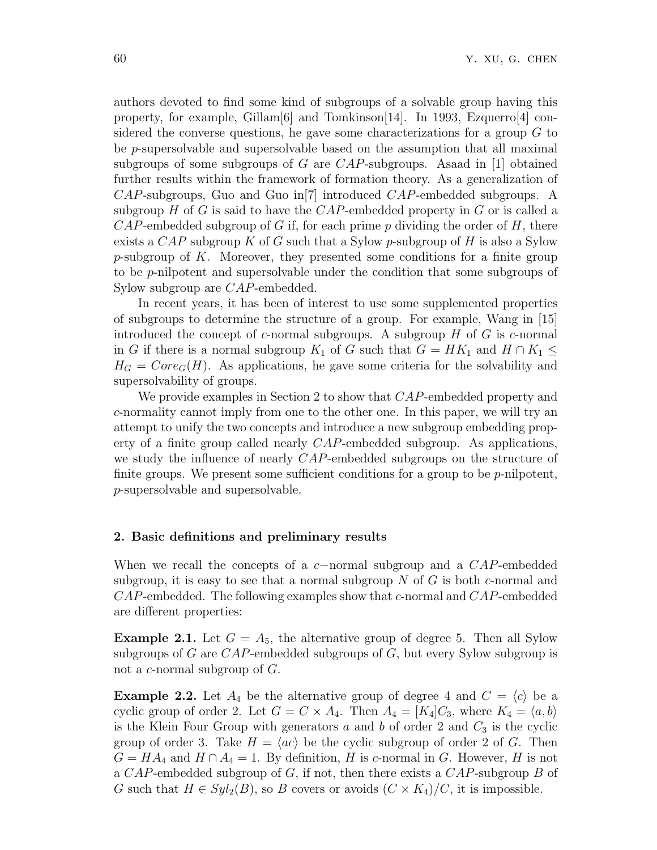authors devoted to find some kind of subgroups of a solvable group having this property, for example, Gillam[6] and Tomkinson[14]. In 1993, Ezquerro[4] considered the converse questions, he gave some characterizations for a group *G* to be *p*-supersolvable and supersolvable based on the assumption that all maximal subgroups of some subgroups of *G* are *CAP*-subgroups. Asaad in [1] obtained further results within the framework of formation theory. As a generalization of *CAP*-subgroups, Guo and Guo in[7] introduced *CAP*-embedded subgroups. A subgroup  $H$  of  $G$  is said to have the  $CAP$ -embedded property in  $G$  or is called a *CAP*-embedded subgroup of *G* if, for each prime *p* dividing the order of *H*, there exists a *CAP* subgroup *K* of *G* such that a Sylow *p*-subgroup of *H* is also a Sylow *p*-subgroup of *K*. Moreover, they presented some conditions for a finite group to be *p*-nilpotent and supersolvable under the condition that some subgroups of Sylow subgroup are *CAP*-embedded.

In recent years, it has been of interest to use some supplemented properties of subgroups to determine the structure of a group. For example, Wang in [15] introduced the concept of *c*-normal subgroups. A subgroup *H* of *G* is *c*-normal in *G* if there is a normal subgroup  $K_1$  of *G* such that  $G = HK_1$  and  $H \cap K_1 \leq$  $H_G = Core_G(H)$ . As applications, he gave some criteria for the solvability and supersolvability of groups.

We provide examples in Section 2 to show that *CAP*-embedded property and *c*-normality cannot imply from one to the other one. In this paper, we will try an attempt to unify the two concepts and introduce a new subgroup embedding property of a finite group called nearly *CAP*-embedded subgroup. As applications, we study the influence of nearly *CAP*-embedded subgroups on the structure of finite groups. We present some sufficient conditions for a group to be *p*-nilpotent, *p*-supersolvable and supersolvable.

### **2. Basic definitions and preliminary results**

When we recall the concepts of a *c−*normal subgroup and a *CAP*-embedded subgroup, it is easy to see that a normal subgroup *N* of *G* is both *c*-normal and *CAP*-embedded. The following examples show that *c*-normal and *CAP*-embedded are different properties:

**Example 2.1.** Let  $G = A_5$ , the alternative group of degree 5. Then all Sylow subgroups of *G* are *CAP*-embedded subgroups of *G*, but every Sylow subgroup is not a *c*-normal subgroup of *G*.

**Example 2.2.** Let  $A_4$  be the alternative group of degree 4 and  $C = \langle c \rangle$  be a cyclic group of order 2. Let  $G = C \times A_4$ . Then  $A_4 = [K_4]C_3$ , where  $K_4 = \langle a, b \rangle$ is the Klein Four Group with generators  $a$  and  $b$  of order 2 and  $C_3$  is the cyclic group of order 3. Take  $H = \langle ac \rangle$  be the cyclic subgroup of order 2 of *G*. Then  $G = HA_4$  and  $H \cap A_4 = 1$ . By definition, *H* is *c*-normal in *G*. However, *H* is not a *CAP*-embedded subgroup of *G*, if not, then there exists a *CAP*-subgroup *B* of *G* such that  $H \in Syl_2(B)$ , so *B* covers or avoids  $(C \times K_4)/C$ , it is impossible.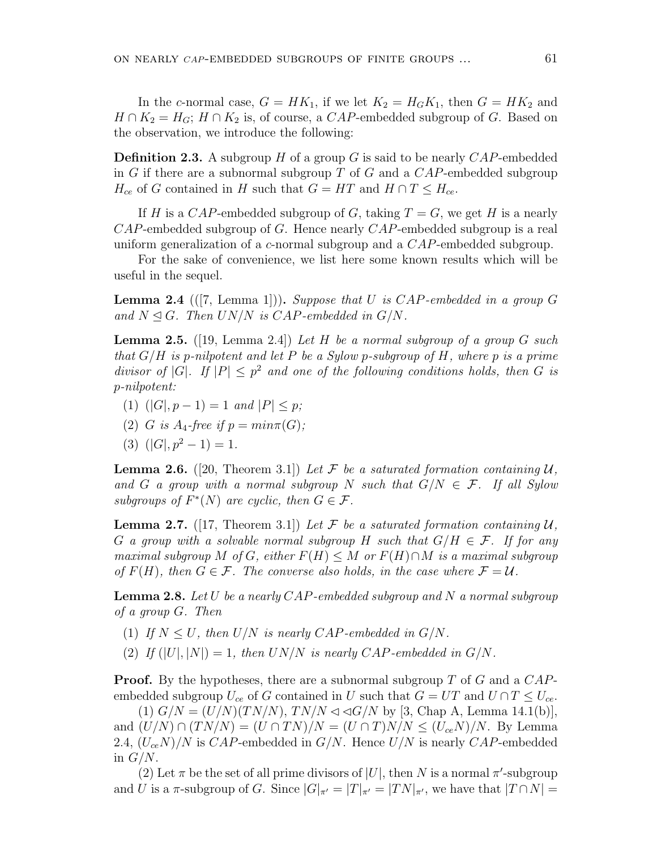In the *c*-normal case,  $G = HK_1$ , if we let  $K_2 = H_GK_1$ , then  $G = HK_2$  and  $H \cap K_2 = H_G$ ;  $H \cap K_2$  is, of course, a *CAP*-embedded subgroup of *G*. Based on the observation, we introduce the following:

**Definition 2.3.** A subgroup *H* of a group *G* is said to be nearly *CAP*-embedded in *G* if there are a subnormal subgroup *T* of *G* and a *CAP*-embedded subgroup *H*<sub>ce</sub> of *G* contained in *H* such that  $G = HT$  and  $H \cap T \leq H_{ce}$ .

If *H* is a *CAP*-embedded subgroup of *G*, taking  $T = G$ , we get *H* is a nearly *CAP*-embedded subgroup of *G*. Hence nearly *CAP*-embedded subgroup is a real uniform generalization of a *c*-normal subgroup and a *CAP*-embedded subgroup.

For the sake of convenience, we list here some known results which will be useful in the sequel.

**Lemma 2.4** (([7, Lemma 1]))**.** *Suppose that U is CAP-embedded in a group G* and  $N \leq G$ . Then  $UN/N$  is  $CAP$ -embedded in  $G/N$ .

**Lemma 2.5.** ([19, Lemma 2.4]) *Let H be a normal subgroup of a group G such that G/H is p-nilpotent and let P be a Sylow p-subgroup of H, where p is a prime divisor of*  $|G|$ *. If*  $|P| \leq p^2$  *and one of the following conditions holds, then G is p-nilpotent:*

- $(1)$   $(|G|, p 1) = 1$  *and*  $|P| \leq p$ ;
- (2) *G is*  $A_4$ -free if  $p = min \pi(G)$ ;
- (3)  $(|G|, p^2 1) = 1$ .

**Lemma 2.6.** ([20, Theorem 3.1]) Let  $\mathcal F$  be a saturated formation containing  $\mathcal U$ , *and G a* group with a normal subgroup *N* such that  $G/N \in \mathcal{F}$ . If all Sylow *subgroups of*  $F^*(N)$  *are cyclic, then*  $G \in \mathcal{F}$ *.* 

**Lemma 2.7.** ([17, Theorem 3.1]) Let  $\mathcal F$  be a saturated formation containing  $\mathcal U$ , *G a group with a solvable normal subgroup H such that G/H ∈ F. If for any maximal subgroup M of G*, either  $F(H) \leq M$  *or*  $F(H) \cap M$  *is a maximal subgroup of*  $F(H)$ , then  $G \in \mathcal{F}$ . The converse also holds, in the case where  $\mathcal{F} = \mathcal{U}$ .

**Lemma 2.8.** *Let U be a nearly CAP-embedded subgroup and N a normal subgroup of a group G. Then*

- (1) If  $N \leq U$ , then  $U/N$  is nearly  $CAP$ -embedded in  $G/N$ .
- (2) If  $(|U|, |N|) = 1$ , then  $UN/N$  is nearly  $CAP$ -embedded in  $G/N$ .

**Proof.** By the hypotheses, there are a subnormal subgroup *T* of *G* and a *CAP*embedded subgroup  $U_{ce}$  of *G* contained in *U* such that  $G = UT$  and  $U \cap T \leq U_{ce}$ .

(1)  $G/N = (U/N)(TN/N)$ ,  $TN/N \triangleleft G/N$  by [3, Chap A, Lemma 14.1(b)], and  $(U/N) \cap (TN/N) = (U \cap TN)/N = (U \cap T)N/N \le (U_{ce}N)/N$ . By Lemma 2.4, (*UceN*)*/N* is *CAP*-embedded in *G/N*. Hence *U/N* is nearly *CAP*-embedded in *G/N*.

(2) Let  $\pi$  be the set of all prime divisors of  $|U|$ , then  $N$  is a normal  $\pi'$ -subgroup and U is a  $\pi$ -subgroup of G. Since  $|G|_{\pi'} = |T|_{\pi'} = |TN|_{\pi'}$ , we have that  $|T \cap N| =$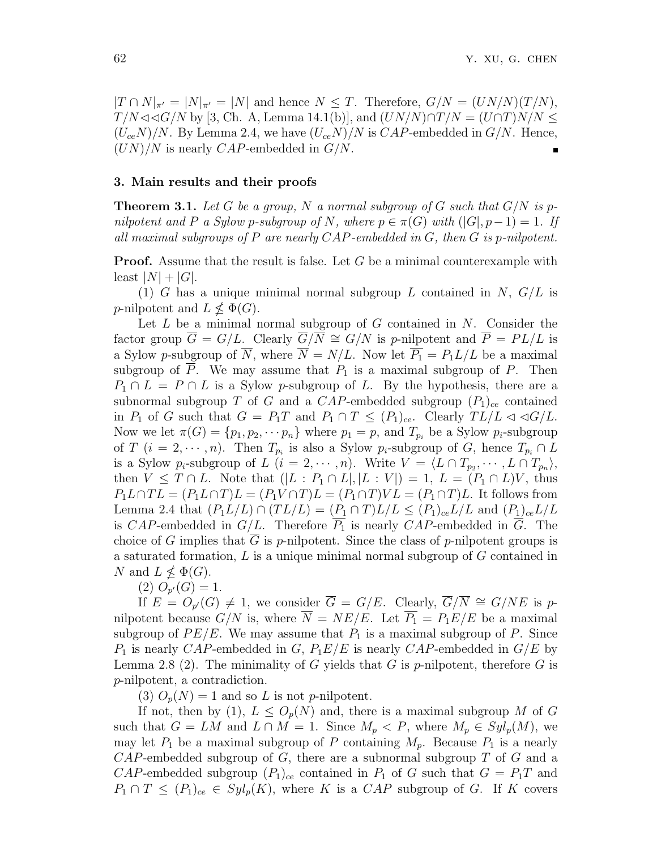*|T* ∩ *N*|<sub> $\pi'$ </sub> = |*N*|<sub> $\pi'$ </sub> = |*N*| and hence *N* ≤ *T*. Therefore, *G*/*N* = (*UN*/*N*)(*T*/*N*), *T/N*  $\triangleleft$   $\triangleleft$  *G/N* by [3, Ch. A, Lemma 14.1(b)], and  $(UN/N) \cap T/N = (U \cap T)N/N ≤$  $(U_{ce}N)/N$ . By Lemma 2.4, we have  $(U_{ce}N)/N$  is  $CAP$ -embedded in  $G/N$ . Hence, (*UN*)*/N* is nearly *CAP*-embedded in *G/N*.

#### **3. Main results and their proofs**

**Theorem 3.1.** Let G be a group, N a normal subgroup of G such that  $G/N$  is p*nilpotent and P a Sylow p*-subgroup of *N,* where  $p \in \pi(G)$  with  $(|G|, p-1) = 1$ . If *all maximal subgroups of P are nearly CAP-embedded in G, then G is p-nilpotent.*

**Proof.** Assume that the result is false. Let *G* be a minimal counterexample with least  $|N| + |G|$ .

(1) *G* has a unique minimal normal subgroup *L* contained in *N*, *G/L* is *p*-nilpotent and  $L \nleq \Phi(G)$ .

Let *L* be a minimal normal subgroup of *G* contained in *N*. Consider the factor group  $\overline{G} = G/L$ . Clearly  $\overline{G}/\overline{N} \cong G/N$  is *p*-nilpotent and  $\overline{P} = PL/L$  is a Sylow *p*-subgroup of  $\overline{N}$ , where  $\overline{N} = N/L$ . Now let  $\overline{P_1} = P_1 L/L$  be a maximal subgroup of  $\overline{P}$ . We may assume that  $P_1$  is a maximal subgroup of  $P$ . Then  $P_1 \cap L = P \cap L$  is a Sylow *p*-subgroup of *L*. By the hypothesis, there are a subnormal subgroup *T* of *G* and a *CAP*-embedded subgroup  $(P_1)_{ce}$  contained in  $P_1$  of  $G$  such that  $G = P_1T$  and  $P_1 \cap T \leq (P_1)_{ce}$ . Clearly  $TL/L \triangleleft \triangleleft G/L$ . Now we let  $\pi(G) = \{p_1, p_2, \dots, p_n\}$  where  $p_1 = p$ , and  $T_{p_i}$  be a Sylow  $p_i$ -subgroup of *T* (*i* = 2,  $\cdots$ , *n*). Then  $T_{p_i}$  is also a Sylow  $p_i$ -subgroup of *G*, hence  $T_{p_i} \cap L$ is a Sylow  $p_i$ -subgroup of  $L$   $(i = 2, \dots, n)$ . Write  $V = \langle L \cap T_{p_2}, \dots, L \cap T_{p_n} \rangle$ , then *V* ≤ *T* ∩ *L*. Note that  $(|L : P_1 ∩ L|, |L : V|) = 1, L = (P_1 ∩ L)V$ , thus  $P_1L \cap TL = (P_1L \cap T)L = (P_1V \cap T)L = (P_1 \cap T)VL = (P_1 \cap T)L$ . It follows from *Lemma 2.4 that*  $(P_1L/L) ∩ (TL/L) = (P_1 ∩ T)L/L ≤ (P_1)_{ce}L/L$  and  $(P_1)_{ce}L/L$ is *CAP*-embedded in  $G/L$ . Therefore  $\overline{P_1}$  is nearly *CAP*-embedded in  $\overline{G}$ . The choice of *G* implies that *G* is *p*-nilpotent. Since the class of *p*-nilpotent groups is a saturated formation, *L* is a unique minimal normal subgroup of *G* contained in *N* and  $L \nleq \Phi(G)$ .

 $(2)$   $O_{p'}(G) = 1.$ 

If  $E = O_{p'}(G) \neq 1$ , we consider  $\overline{G} = G/E$ . Clearly,  $\overline{G}/\overline{N} \cong G/NE$  is *p*nilpotent because  $G/N$  is, where  $\overline{N} = NE/E$ . Let  $\overline{P_1} = P_1E/E$  be a maximal subgroup of  $PE/E$ . We may assume that  $P_1$  is a maximal subgroup of  $P$ . Since  $P_1$  is nearly *CAP*-embedded in *G*,  $P_1E/E$  is nearly *CAP*-embedded in  $G/E$  by Lemma 2.8 (2). The minimality of *G* yields that *G* is *p*-nilpotent, therefore *G* is *p*-nilpotent, a contradiction.

(3)  $O_p(N) = 1$  and so *L* is not *p*-nilpotent.

If not, then by (1),  $L \leq O_p(N)$  and, there is a maximal subgroup M of G such that  $G = LM$  and  $L \cap M = 1$ . Since  $M_p \subset P$ , where  $M_p \in Syl_p(M)$ , we may let  $P_1$  be a maximal subgroup of P containing  $M_p$ . Because  $P_1$  is a nearly *CAP*-embedded subgroup of *G*, there are a subnormal subgroup *T* of *G* and a *CAP*-embedded subgroup  $(P_1)_{ce}$  contained in  $P_1$  of *G* such that  $G = P_1T$  and  $P_1 \cap T \leq (P_1)_{ce} \in Syl_p(K)$ , where *K* is a *CAP* subgroup of *G*. If *K* covers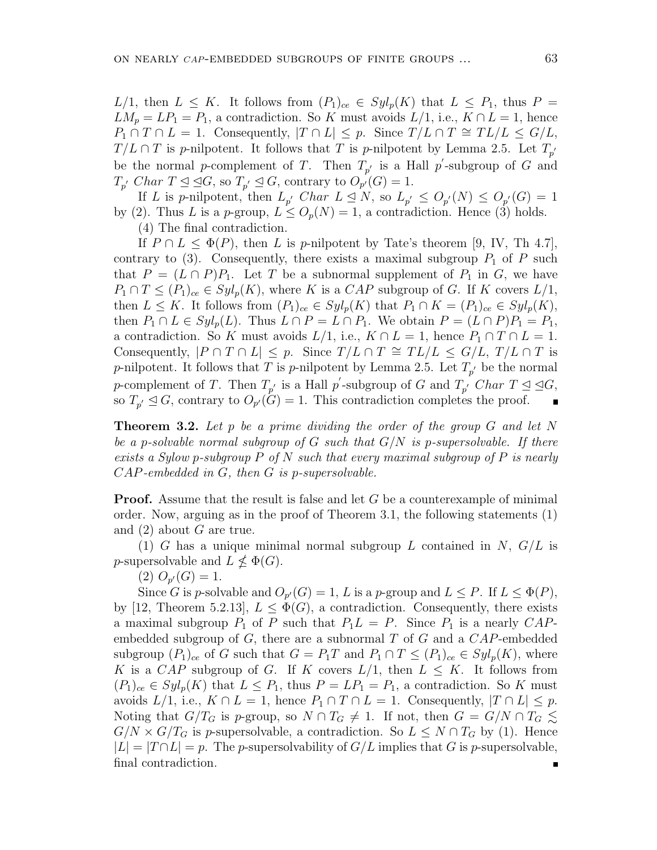*L*/1, then  $L \leq K$ . It follows from  $(P_1)_{ce} \in Syl_p(K)$  that  $L \leq P_1$ , thus  $P =$  $LM_p = LP_1 = P_1$ , a contradiction. So *K* must avoids  $L/1$ , i.e.,  $K \cap L = 1$ , hence  $P_1 \cap T \cap L = 1$ . Consequently,  $|T \cap L| \leq p$ . Since  $T/L \cap T \cong TL/L \leq G/L$ ,  $T/L \cap T$  is *p*-nilpotent. It follows that *T* is *p*-nilpotent by Lemma 2.5. Let  $T_{p'}$ be the normal *p*-complement of *T*. Then  $T_{p'}$  is a Hall *p*'-subgroup of *G* and  $T_{p'}$  *Char*  $T \leq \subseteq G$ , so  $T_{p'} \leq G$ , contrary to  $O_{p'}(G) = 1$ .

If *L* is *p*-nilpotent, then  $L_{p'}$  *Char*  $L \leq N$ , so  $L_{p'} \leq O_{p'}(N) \leq O_{p'}(G) = 1$ by (2). Thus *L* is a *p*-group,  $L \leq O_p(N) = 1$ , a contradiction. Hence (3) holds. (4) The final contradiction.

If  $P \cap L \leq \Phi(P)$ , then *L* is *p*-nilpotent by Tate's theorem [9, IV, Th 4.7], contrary to  $(3)$ . Consequently, there exists a maximal subgroup  $P_1$  of  $P$  such that  $P = (L \cap P)P_1$ . Let *T* be a subnormal supplement of  $P_1$  in *G*, we have  $P_1 \cap T \leq (P_1)_{ce} \in Syl_p(K)$ , where *K* is a *CAP* subgroup of *G*. If *K* covers  $L/1$ , then  $L \leq K$ . It follows from  $(P_1)_{ce} \in Syl_p(K)$  that  $P_1 \cap K = (P_1)_{ce} \in Syl_p(K)$ , then  $P_1 \cap L \in Syl_p(L)$ . Thus  $L \cap P = L \cap P_1$ . We obtain  $P = (L \cap P)P_1 = P_1$ , a contradiction. So *K* must avoids  $L/1$ , i.e.,  $K \cap L = 1$ , hence  $P_1 \cap T \cap L = 1$ . Consequently,  $|P \cap T \cap L| \leq p$ . Since  $T/L \cap T \cong TL/L \leq G/L$ ,  $T/L \cap T$  is *p*-nilpotent. It follows that *T* is *p*-nilpotent by Lemma 2.5. Let  $T_{p'}$  be the normal *p*-complement of *T*. Then  $T_{p'}$  is a Hall *p*'-subgroup of *G* and  $T_{p'}$  *Char*  $T \leq \leq G$ , so  $T_{p'} \leq G$ , contrary to  $O_{p'}(G) = 1$ . This contradiction completes the proof.

**Theorem 3.2.** *Let p be a prime dividing the order of the group G and let N be a p-solvable normal subgroup of G such that G/N is p-supersolvable. If there exists a Sylow p-subgroup P of N such that every maximal subgroup of P is nearly CAP-embedded in G, then G is p-supersolvable.*

**Proof.** Assume that the result is false and let *G* be a counterexample of minimal order. Now, arguing as in the proof of Theorem 3.1, the following statements (1) and (2) about *G* are true.

(1) *G* has a unique minimal normal subgroup *L* contained in *N*, *G/L* is *p*-supersolvable and  $L \nleq \Phi(G)$ .

 $(2)$   $O_{p'}(G) = 1.$ 

Since *G* is *p*-solvable and  $O_{p'}(G) = 1$ , *L* is a *p*-group and  $L \leq P$ . If  $L \leq \Phi(P)$ , by [12, Theorem 5.2.13],  $L \leq \Phi(G)$ , a contradiction. Consequently, there exists a maximal subgroup  $P_1$  of  $P$  such that  $P_1L = P$ . Since  $P_1$  is a nearly  $CAP$ embedded subgroup of *G*, there are a subnormal *T* of *G* and a *CAP*-embedded subgroup  $(P_1)_{ce}$  of *G* such that  $G = P_1T$  and  $P_1 \cap T \leq (P_1)_{ce} \in Syl_p(K)$ , where *K* is a *CAP* subgroup of *G*. If *K* covers  $L/1$ , then  $L \leq K$ . It follows from  $(P_1)_{ce} \in Syl_p(K)$  that  $L \leq P_1$ , thus  $P = LP_1 = P_1$ , a contradiction. So K must avoids  $L/1$ , i.e.,  $K \cap L = 1$ , hence  $P_1 \cap T \cap L = 1$ . Consequently,  $|T \cap L| \leq p$ . Noting that  $G/T_G$  is *p*-group, so  $N \cap T_G \neq 1$ . If not, then  $G = G/N \cap T_G \leq$  $G/N \times G/T_G$  is *p*-supersolvable, a contradiction. So  $L \leq N \cap T_G$  by (1). Hence  $|L| = |T \cap L| = p$ . The *p*-supersolvability of  $G/L$  implies that *G* is *p*-supersolvable, final contradiction.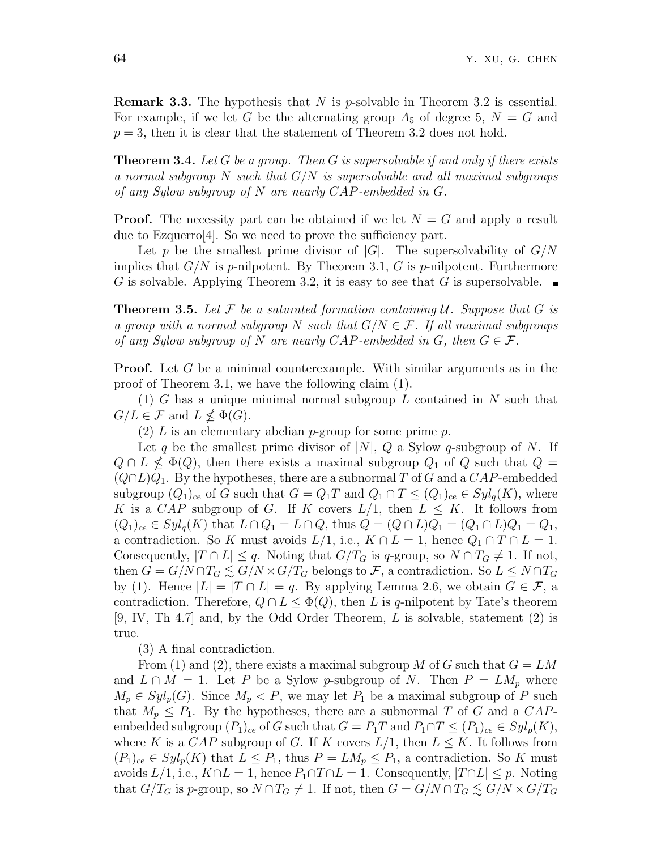**Remark 3.3.** The hypothesis that *N* is *p*-solvable in Theorem 3.2 is essential. For example, if we let *G* be the alternating group  $A_5$  of degree 5,  $N = G$  and  $p = 3$ , then it is clear that the statement of Theorem 3.2 does not hold.

**Theorem 3.4.** *Let G be a group. Then G is supersolvable if and only if there exists a normal subgroup N such that G/N is supersolvable and all maximal subgroups of any Sylow subgroup of N are nearly CAP-embedded in G.*

**Proof.** The necessity part can be obtained if we let  $N = G$  and apply a result due to Ezquerro[4]. So we need to prove the sufficiency part.

Let p be the smallest prime divisor of  $|G|$ . The supersolvability of  $G/N$ implies that  $G/N$  is *p*-nilpotent. By Theorem 3.1,  $G$  is *p*-nilpotent. Furthermore *G* is solvable. Applying Theorem 3.2, it is easy to see that *G* is supersolvable.

**Theorem 3.5.** Let  $\mathcal F$  be a saturated formation containing  $\mathcal U$ . Suppose that  $G$  is *a group with a normal subgroup*  $N$  *such that*  $G/N \in \mathcal{F}$ *. If all maximal subgroups of any Sylow subgroup of*  $N$  *are nearly CAP-embedded in*  $G$ *, then*  $G \in \mathcal{F}$ *.* 

**Proof.** Let G be a minimal counterexample. With similar arguments as in the proof of Theorem 3.1, we have the following claim (1).

(1) *G* has a unique minimal normal subgroup *L* contained in *N* such that  $G/L \in \mathcal{F}$  and  $L \nleq \Phi(G)$ .

(2) *L* is an elementary abelian *p*-group for some prime *p*.

Let *q* be the smallest prime divisor of *|N|*, *Q* a Sylow *q*-subgroup of *N*. If  $Q \cap L \nleq \Phi(Q)$ , then there exists a maximal subgroup  $Q_1$  of  $Q$  such that  $Q =$ (*Q∩L*)*Q*1. By the hypotheses, there are a subnormal *T* of *G* and a *CAP*-embedded subgroup  $(Q_1)_{ce}$  of *G* such that  $G = Q_1T$  and  $Q_1 \cap T \leq (Q_1)_{ce} \in Syl_q(K)$ , where *K* is a *CAP* subgroup of *G*. If *K* covers  $L/1$ , then  $L \leq K$ . It follows from  $(Q_1)_{ce} \in Syl_q(K)$  that  $L \cap Q_1 = L \cap Q$ , thus  $Q = (Q \cap L)Q_1 = (Q_1 \cap L)Q_1 = Q_1$ , a contradiction. So *K* must avoids  $L/1$ , i.e.,  $K \cap L = 1$ , hence  $Q_1 \cap T \cap L = 1$ . Consequently,  $|T \cap L| \leq q$ . Noting that  $G/T_G$  is q-group, so  $N \cap T_G \neq 1$ . If not, then  $G = G/N \cap T_G \leq G/N \times G/T_G$  belongs to *F*, a contradiction. So  $L \leq N \cap T_G$ by (1). Hence  $|L| = |T \cap L| = q$ . By applying Lemma 2.6, we obtain  $G \in \mathcal{F}$ , a contradiction. Therefore,  $Q \cap L \leq \Phi(Q)$ , then *L* is *q*-nilpotent by Tate's theorem [9, IV, Th 4.7] and, by the Odd Order Theorem, *L* is solvable, statement (2) is true.

(3) A final contradiction.

From (1) and (2), there exists a maximal subgroup *M* of *G* such that  $G = LM$ and  $L \cap M = 1$ . Let P be a Sylow p-subgroup of N. Then  $P = LM_p$  where  $M_p \in Syl_p(G)$ . Since  $M_p \lt P$ , we may let  $P_1$  be a maximal subgroup of P such that  $M_p \leq P_1$ . By the hypotheses, there are a subnormal *T* of *G* and a *CAP*embedded subgroup  $(P_1)_{ce}$  of *G* such that  $G = P_1T$  and  $P_1 \cap T \leq (P_1)_{ce} \in Syl_p(K)$ , where *K* is a *CAP* subgroup of *G*. If *K* covers  $L/1$ , then  $L \leq K$ . It follows from  $(P_1)_{ce} \in Syl_p(K)$  that  $L \leq P_1$ , thus  $P = LM_p \leq P_1$ , a contradiction. So K must avoids  $L/1$ , i.e.,  $K \cap L = 1$ , hence  $P_1 \cap T \cap L = 1$ . Consequently,  $|T \cap L| \leq p$ . Noting that  $G/T_G$  is p-group, so  $N \cap T_G \neq 1$ . If not, then  $G = G/N \cap T_G \leq G/N \times G/T_G$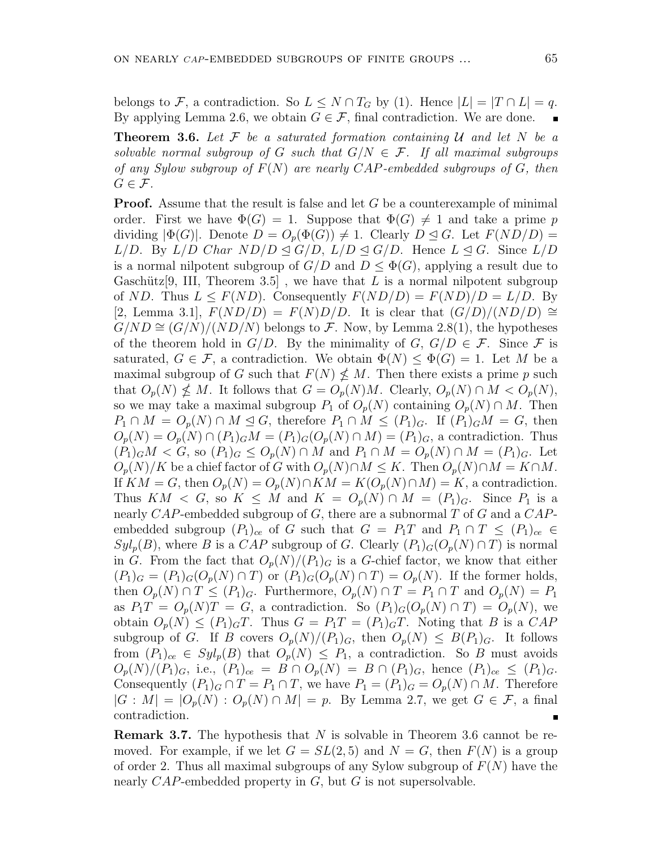belongs to  $\mathcal{F}$ , a contradiction. So  $L \leq N \cap T_G$  by (1). Hence  $|L| = |T \cap L| = q$ . By applying Lemma 2.6, we obtain  $G \in \mathcal{F}$ , final contradiction. We are done.

**Theorem 3.6.** Let  $\mathcal{F}$  be a saturated formation containing  $\mathcal{U}$  and let  $N$  be a *solvable normal subgroup of G such that*  $G/N \in \mathcal{F}$ . If all maximal subgroups *of any Sylow subgroup of F*(*N*) *are nearly CAP-embedded subgroups of G, then*  $G \in \mathcal{F}$ *.* 

**Proof.** Assume that the result is false and let *G* be a counterexample of minimal order. First we have  $\Phi(G) = 1$ . Suppose that  $\Phi(G) \neq 1$  and take a prime *p* dividing  $|\Phi(G)|$ . Denote  $D = O_p(\Phi(G)) \neq 1$ . Clearly  $D \leq G$ . Let  $F(ND/D) =$  $L/D$ . By  $L/D$  *Char ND/D*  $\trianglelefteq G/D$ ,  $L/D \trianglelefteq G/D$ . Hence  $L \trianglelefteq G$ . Since  $L/D$ is a normal nilpotent subgroup of  $G/D$  and  $D \leq \Phi(G)$ , applying a result due to Gaschütz<sup>[9]</sup>, III, Theorem 3.5<sup>[3]</sup>, we have that *L* is a normal nilpotent subgroup of *ND*. Thus  $L \leq F(ND)$ . Consequently  $F(ND/D) = F(ND)/D = L/D$ . By [2, Lemma 3.1],  $F(ND/D) = F(N)D/D$ . It is clear that  $(G/D)/(ND/D)$  ≅  $G/ND \cong (G/N)/(ND/N)$  belongs to *F*. Now, by Lemma 2.8(1), the hypotheses of the theorem hold in  $G/D$ . By the minimality of  $G, G/D \in \mathcal{F}$ . Since  $\mathcal F$  is saturated,  $G \in \mathcal{F}$ , a contradiction. We obtain  $\Phi(N) \leq \Phi(G) = 1$ . Let M be a maximal subgroup of *G* such that  $F(N) \nleq M$ . Then there exists a prime *p* such that  $O_p(N) \nleq M$ . It follows that  $G = O_p(N)M$ . Clearly,  $O_p(N) \cap M < O_p(N)$ , so we may take a maximal subgroup  $P_1$  of  $O_p(N)$  containing  $O_p(N) \cap M$ . Then *P*<sub>1</sub> ∩ *M* =  $O_p(N)$  ∩ *M*  $\leq G$ , therefore  $P_1 \cap M \leq (P_1)_G$ . If  $(P_1)_G M = G$ , then  $O_p(N) = O_p(N) \cap (P_1)_G M = (P_1)_G (O_p(N) \cap M) = (P_1)_G$ , a contradiction. Thus  $(P_1)_G M < G$ , so  $(P_1)_G \leq O_p(N) \cap M$  and  $P_1 \cap M = O_p(N) \cap M = (P_1)_G$ . Let  $O_p(N)/K$  be a chief factor of *G* with  $O_p(N) \cap M \leq K$ . Then  $O_p(N) \cap M = K \cap M$ . If  $KM = G$ , then  $O_p(N) = O_p(N) \cap KM = K(O_p(N) \cap M) = K$ , a contradiction. Thus  $KM < G$ , so  $K \leq M$  and  $K = O_p(N) \cap M = (P_1)_G$ . Since  $P_1$  is a nearly *CAP*-embedded subgroup of *G*, there are a subnormal *T* of *G* and a *CAP*embedded subgroup  $(P_1)_{ce}$  of *G* such that  $G = P_1T$  and  $P_1 \cap T \leq (P_1)_{ce} \in$  $Syl_p(B)$ , where *B* is a *CAP* subgroup of *G*. Clearly  $(P_1)_G(O_p(N) \cap T)$  is normal in *G*. From the fact that  $O_p(N)/(P_1)_G$  is a *G*-chief factor, we know that either  $(P_1)_G = (P_1)_G (O_p(N) \cap T)$  or  $(P_1)_G (O_p(N) \cap T) = O_p(N)$ . If the former holds, then  $O_p(N) \cap T \leq (P_1)_G$ . Furthermore,  $O_p(N) \cap T = P_1 \cap T$  and  $O_p(N) = P_1$ as  $P_1T = O_p(N)T = G$ , a contradiction. So  $(P_1)_G(O_p(N) \cap T) = O_p(N)$ , we obtain  $O_p(N) \leq (P_1)_G T$ . Thus  $G = P_1 T = (P_1)_G T$ . Noting that *B* is a *CAP* subgroup of *G*. If *B* covers  $O_p(N)/(P_1)_G$ , then  $O_p(N) \leq B(P_1)_G$ . It follows from  $(P_1)_{ce} \in Syl_p(B)$  that  $O_p(N) \leq P_1$ , a contradiction. So *B* must avoids  $O_p(N)/(P_1)_G$ , i.e.,  $(P_1)_{ce} = B \cap O_p(N) = B \cap (P_1)_G$ , hence  $(P_1)_{ce} \leq (P_1)_G$ . Consequently  $(P_1)_G \cap T = P_1 \cap T$ , we have  $P_1 = (P_1)_G = O_p(N) \cap M$ . Therefore  $|G : M| = |O_p(N) : O_p(N) \cap M| = p$ . By Lemma 2.7, we get  $G \in \mathcal{F}$ , a final contradiction.

**Remark 3.7.** The hypothesis that *N* is solvable in Theorem 3.6 cannot be removed. For example, if we let  $G = SL(2, 5)$  and  $N = G$ , then  $F(N)$  is a group of order 2. Thus all maximal subgroups of any Sylow subgroup of *F*(*N*) have the nearly *CAP*-embedded property in *G*, but *G* is not supersolvable.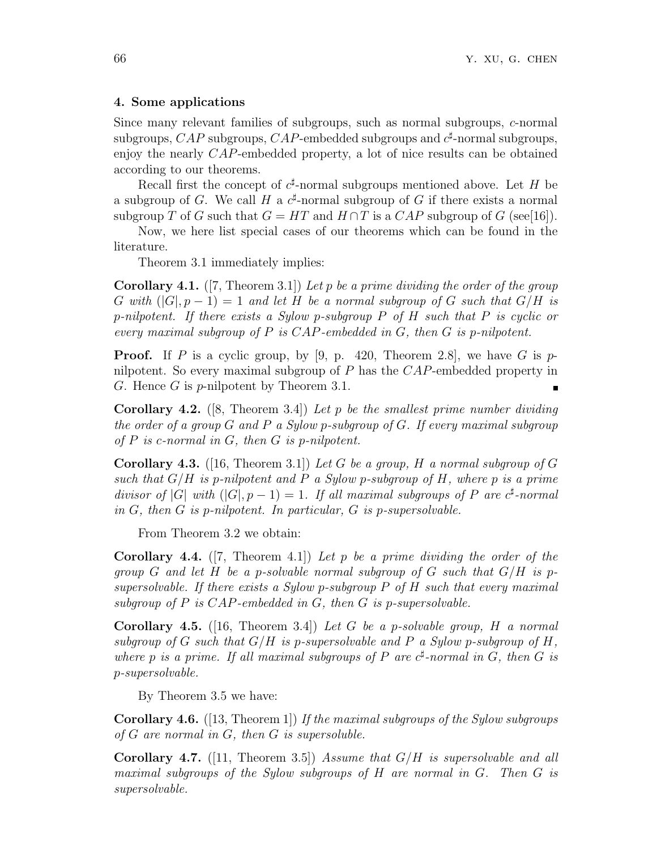### **4. Some applications**

Since many relevant families of subgroups, such as normal subgroups, *c*-normal subgroups,  $CAP$  subgroups,  $CAP$ -embedded subgroups and  $c^{\sharp}$ -normal subgroups, enjoy the nearly *CAP*-embedded property, a lot of nice results can be obtained according to our theorems.

Recall first the concept of  $c^{\sharp}$ -normal subgroups mentioned above. Let *H* be a subgroup of *G*. We call *H* a  $c^{\sharp}$ -normal subgroup of *G* if there exists a normal subgroup *T* of *G* such that  $G = HT$  and  $H \cap T$  is a  $CAP$  subgroup of *G* (see[16]).

Now, we here list special cases of our theorems which can be found in the literature.

Theorem 3.1 immediately implies:

**Corollary 4.1.** ([7, Theorem 3.1]) *Let p be a prime dividing the order of the group G* with  $(|G|, p-1) = 1$  and let *H* be a normal subgroup of *G* such that  $G/H$  is *p-nilpotent. If there exists a Sylow p-subgroup P of H such that P is cyclic or every maximal subgroup of P is CAP-embedded in G, then G is p-nilpotent.*

**Proof.** If *P* is a cyclic group, by [9, p. 420, Theorem 2.8], we have *G* is *p*nilpotent. So every maximal subgroup of *P* has the *CAP*-embedded property in *G*. Hence *G* is *p*-nilpotent by Theorem 3.1.  $\blacksquare$ 

**Corollary 4.2.** ([8, Theorem 3.4]) *Let p be the smallest prime number dividing the order of a group G and P a Sylow p-subgroup of G. If every maximal subgroup of P is c-normal in G, then G is p-nilpotent.*

**Corollary 4.3.** ([16, Theorem 3.1]) *Let G be a group, H a normal subgroup of G such that G/H is p-nilpotent and P a Sylow p-subgroup of H, where p is a prime divisor of*  $|G|$  *with*  $(|G|, p - 1) = 1$ *. If all maximal subgroups of P* are  $c^{\sharp}$ -normal *in G, then G is p-nilpotent. In particular, G is p-supersolvable.*

From Theorem 3.2 we obtain:

**Corollary 4.4.** ([7, Theorem 4.1]) *Let p be a prime dividing the order of the group G and let H be a p-solvable normal subgroup of G such that G/H is psupersolvable. If there exists a Sylow p-subgroup P of H such that every maximal subgroup of P is CAP-embedded in G, then G is p-supersolvable.*

**Corollary 4.5.** ([16, Theorem 3.4]) *Let G be a p-solvable group, H a normal subgroup of*  $G$  *such that*  $G/H$  *is p-supersolvable and*  $P$  *a Sylow p-subgroup of*  $H$ *, where*  $p$  *is a prime. If all maximal subgroups of*  $P$  *are*  $c^{\sharp}$ -normal *in*  $G$ *, then*  $G$  *is p-supersolvable.*

By Theorem 3.5 we have:

**Corollary 4.6.** ([13, Theorem 1]) *If the maximal subgroups of the Sylow subgroups of G are normal in G, then G is supersoluble.*

**Corollary 4.7.** ([11, Theorem 3.5]) *Assume that G/H is supersolvable and all maximal subgroups of the Sylow subgroups of H are normal in G. Then G is supersolvable.*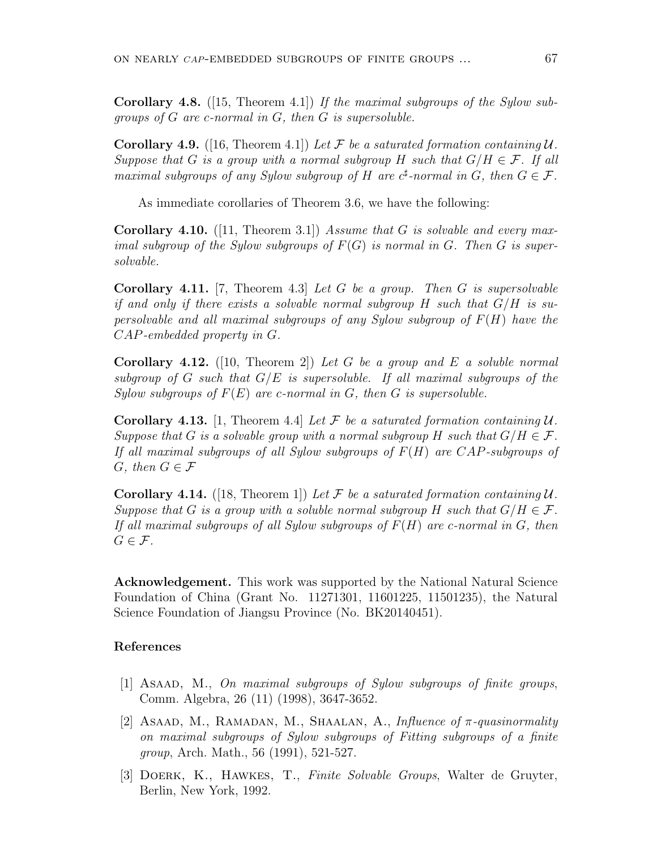**Corollary 4.8.** ([15, Theorem 4.1]) *If the maximal subgroups of the Sylow subgroups of G are c-normal in G, then G is supersoluble.*

**Corollary 4.9.** ([16, Theorem 4.1]) Let F be a saturated formation containing  $U$ . *Suppose that G is a group with a normal subgroup H such that*  $G/H \in \mathcal{F}$ *. If all maximal subgroups of any Sylow subgroup of H* are  $c^{\sharp}$ -normal in *G*, then  $G \in \mathcal{F}$ .

As immediate corollaries of Theorem 3.6, we have the following:

**Corollary 4.10.** ([11, Theorem 3.1]) *Assume that G is solvable and every maximal subgroup of the Sylow subgroups of*  $F(G)$  *is normal in*  $G$ *. Then*  $G$  *is supersolvable.*

**Corollary 4.11.** [7, Theorem 4.3] *Let G be a group. Then G is supersolvable if and only if there exists a solvable normal subgroup H such that G/H is supersolvable and all maximal subgroups of any Sylow subgroup of F*(*H*) *have the CAP-embedded property in G.*

**Corollary 4.12.** ([10, Theorem 2]) *Let G be a group and E a soluble normal subgroup of G such that G/E is supersoluble. If all maximal subgroups of the Sylow subgroups of F*(*E*) *are c-normal in G, then G is supersoluble.*

**Corollary 4.13.** [1, Theorem 4.4] Let F be a saturated formation containing  $U$ . *Suppose that G is a solvable group with a normal subgroup H such that*  $G/H \in \mathcal{F}$ *. If all maximal subgroups of all Sylow subgroups of F*(*H*) *are CAP-subgroups of G, then*  $G \in \mathcal{F}$ 

**Corollary 4.14.** ([18, Theorem 1]) Let F be a saturated formation containing  $U$ . *Suppose that G is a group with a soluble normal subgroup H such that*  $G/H \in \mathcal{F}$ *. If all maximal subgroups of all Sylow subgroups of F*(*H*) *are c-normal in G, then*  $G \in \mathcal{F}$ *.* 

**Acknowledgement.** This work was supported by the National Natural Science Foundation of China (Grant No. 11271301, 11601225, 11501235), the Natural Science Foundation of Jiangsu Province (No. BK20140451).

### **References**

- [1] Asaad, M., *On maximal subgroups of Sylow subgroups of finite groups*, Comm. Algebra, 26 (11) (1998), 3647-3652.
- [2] Asaad, M., Ramadan, M., Shaalan, A., *Influence of π-quasinormality on maximal subgroups of Sylow subgroups of Fitting subgroups of a finite group*, Arch. Math., 56 (1991), 521-527.
- [3] Doerk, K., Hawkes, T., *Finite Solvable Groups*, Walter de Gruyter, Berlin, New York, 1992.